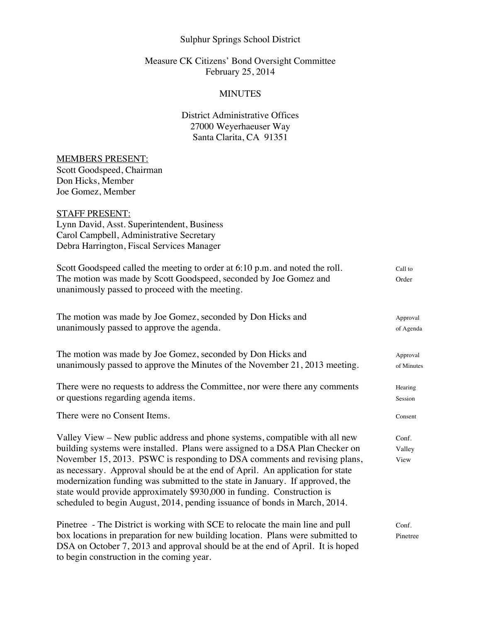# Sulphur Springs School District

## Measure CK Citizens' Bond Oversight Committee February 25, 2014

#### **MINUTES**

# District Administrative Offices 27000 Weyerhaeuser Way Santa Clarita, CA 91351

## MEMBERS PRESENT:

Scott Goodspeed, Chairman Don Hicks, Member Joe Gomez, Member

# STAFF PRESENT:

Lynn David, Asst. Superintendent, Business Carol Campbell, Administrative Secretary Debra Harrington, Fiscal Services Manager

| Scott Goodspeed called the meeting to order at 6:10 p.m. and noted the roll.<br>The motion was made by Scott Goodspeed, seconded by Joe Gomez and<br>unanimously passed to proceed with the meeting.                                                                                                                                                                                                                                                                                                                                                                  | Call to<br>Order        |
|-----------------------------------------------------------------------------------------------------------------------------------------------------------------------------------------------------------------------------------------------------------------------------------------------------------------------------------------------------------------------------------------------------------------------------------------------------------------------------------------------------------------------------------------------------------------------|-------------------------|
| The motion was made by Joe Gomez, seconded by Don Hicks and<br>unanimously passed to approve the agenda.                                                                                                                                                                                                                                                                                                                                                                                                                                                              | Approval<br>of Agenda   |
| The motion was made by Joe Gomez, seconded by Don Hicks and<br>unanimously passed to approve the Minutes of the November 21, 2013 meeting.                                                                                                                                                                                                                                                                                                                                                                                                                            | Approval<br>of Minutes  |
| There were no requests to address the Committee, nor were there any comments<br>or questions regarding agenda items.                                                                                                                                                                                                                                                                                                                                                                                                                                                  | Hearing<br>Session      |
| There were no Consent Items.                                                                                                                                                                                                                                                                                                                                                                                                                                                                                                                                          | Consent                 |
| Valley View – New public address and phone systems, compatible with all new<br>building systems were installed. Plans were assigned to a DSA Plan Checker on<br>November 15, 2013. PSWC is responding to DSA comments and revising plans,<br>as necessary. Approval should be at the end of April. An application for state<br>modernization funding was submitted to the state in January. If approved, the<br>state would provide approximately \$930,000 in funding. Construction is<br>scheduled to begin August, 2014, pending issuance of bonds in March, 2014. | Conf.<br>Valley<br>View |
| Pinetree - The District is working with SCE to relocate the main line and pull<br>box locations in preparation for new building location. Plans were submitted to<br>DSA on October 7, 2013 and approval should be at the end of April. It is hoped<br>to begin construction in the coming year.                                                                                                                                                                                                                                                                      | Conf.<br>Pinetree       |